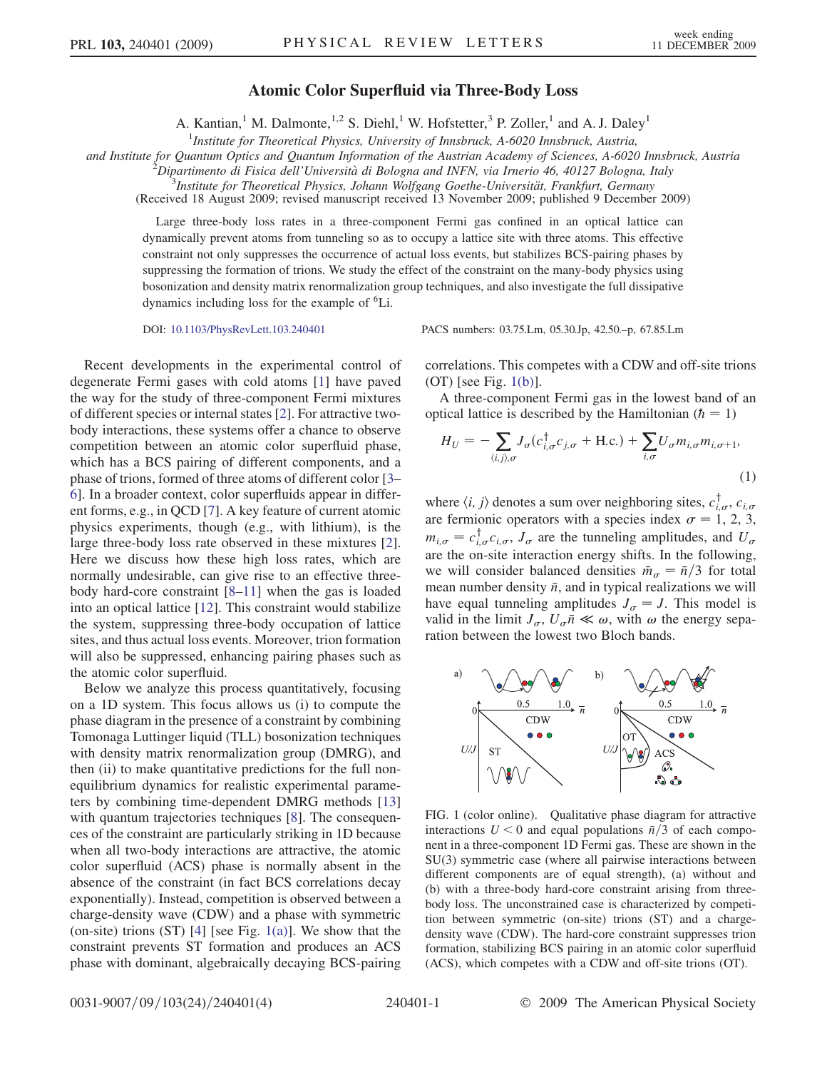## Atomic Color Superfluid via Three-Body Loss

A. Kantian,<sup>1</sup> M. Dalmonte,<sup>1,2</sup> S. Diehl,<sup>1</sup> W. Hofstetter,<sup>3</sup> P. Zoller,<sup>1</sup> and A. J. Daley<sup>1</sup>

<sup>1</sup>Institute for Theoretical Physics, University of Innsbruck, A-6020 Innsbruck, Austria,

and Institute for Quantum Optics and Quantum Information of the Austrian Academy of Sciences, A-6020 Innsbruck, Austria <sup>2</sup>

 $^2$ Dipartimento di Fisica dell'Università di Bologna and INFN, via Irnerio 46, 40127 Bologna, Italy

 ${}^{3}$ Institute for Theoretical Physics, Johann Wolfgang Goethe-Universität, Frankfurt, Germany

(Received 18 August 2009; revised manuscript received 13 November 2009; published 9 December 2009)

Large three-body loss rates in a three-component Fermi gas confined in an optical lattice can dynamically prevent atoms from tunneling so as to occupy a lattice site with three atoms. This effective constraint not only suppresses the occurrence of actual loss events, but stabilizes BCS-pairing phases by suppressing the formation of trions. We study the effect of the constraint on the many-body physics using bosonization and density matrix renormalization group techniques, and also investigate the full dissipative dynamics including loss for the example of 6Li.

DOI: [10.1103/PhysRevLett.103.240401](http://dx.doi.org/10.1103/PhysRevLett.103.240401) PACS numbers: 03.75.Lm, 05.30.Jp, 42.50.–p, 67.85.Lm

Recent developments in the experimental control of degenerate Fermi gases with cold atoms [[1\]](#page-3-0) have paved the way for the study of three-component Fermi mixtures of different species or internal states [\[2](#page-3-1)]. For attractive twobody interactions, these systems offer a chance to observe competition between an atomic color superfluid phase, which has a BCS pairing of different components, and a phase of trions, formed of three atoms of different color [[3–](#page-3-2) [6](#page-3-3)]. In a broader context, color superfluids appear in different forms, e.g., in QCD [\[7](#page-3-4)]. A key feature of current atomic physics experiments, though (e.g., with lithium), is the large three-body loss rate observed in these mixtures [[2\]](#page-3-1). Here we discuss how these high loss rates, which are normally undesirable, can give rise to an effective threebody hard-core constraint [\[8–](#page-3-5)[11](#page-3-6)] when the gas is loaded into an optical lattice [[12](#page-3-7)]. This constraint would stabilize the system, suppressing three-body occupation of lattice sites, and thus actual loss events. Moreover, trion formation will also be suppressed, enhancing pairing phases such as the atomic color superfluid.

Below we analyze this process quantitatively, focusing on a 1D system. This focus allows us (i) to compute the phase diagram in the presence of a constraint by combining Tomonaga Luttinger liquid (TLL) bosonization techniques with density matrix renormalization group (DMRG), and then (ii) to make quantitative predictions for the full nonequilibrium dynamics for realistic experimental parameters by combining time-dependent DMRG methods [\[13\]](#page-3-8) with quantum trajectories techniques [\[8](#page-3-5)]. The consequences of the constraint are particularly striking in 1D because when all two-body interactions are attractive, the atomic color superfluid (ACS) phase is normally absent in the absence of the constraint (in fact BCS correlations decay exponentially). Instead, competition is observed between a charge-density wave (CDW) and a phase with symmetric (on-site) trions  $(ST)$  [\[4](#page-3-9)] [see Fig. [1\(a\)](#page-0-0)]. We show that the constraint prevents ST formation and produces an ACS phase with dominant, algebraically decaying BCS-pairing correlations. This competes with a CDW and off-site trions  $(OT)$  [see Fig. [1\(b\)](#page-0-0)].

A three-component Fermi gas in the lowest band of an optical lattice is described by the Hamiltonian ( $\hbar = 1$ )

$$
H_U = -\sum_{\langle i,j\rangle,\sigma} J_{\sigma}(c_{i,\sigma}^{\dagger}c_{j,\sigma} + \text{H.c.}) + \sum_{i,\sigma} U_{\sigma} m_{i,\sigma} m_{i,\sigma+1},
$$
\n(1)

where  $\langle i, j \rangle$  denotes a sum over neighboring sites,  $c_{i,\sigma}^{\dagger}$ ,  $c_{i,\sigma}$ <br>are fermionic operators with a species index  $\sigma = 1, 2, 3$ are fermionic operators with a species index  $\sigma = 1, 2, 3$ ,  $m_{i,\sigma} = c_{i,\sigma}^{\dagger} c_{i,\sigma}$ ,  $J_{\sigma}$  are the tunneling amplitudes, and  $U_{\sigma}$ <br>are the on-site interaction energy shifts. In the following are the on-site interaction energy shifts. In the following, we will consider balanced densities  $\bar{m}_{\sigma} = \bar{n}/3$  for total mean number density  $\bar{n}$ , and in typical realizations we will have equal tunneling amplitudes  $J_{\sigma} = J$ . This model is valid in the limit  $J_{\sigma}$ ,  $U_{\sigma} \overline{n} \ll \omega$ , with  $\omega$  the energy separation between the lowest two Bloch bands ration between the lowest two Bloch bands.



<span id="page-0-0"></span>FIG. 1 (color online). Qualitative phase diagram for attractive interactions  $U < 0$  and equal populations  $\bar{n}/3$  of each component in a three-component 1D Fermi gas. These are shown in the SU(3) symmetric case (where all pairwise interactions between different components are of equal strength), (a) without and (b) with a three-body hard-core constraint arising from threebody loss. The unconstrained case is characterized by competition between symmetric (on-site) trions (ST) and a chargedensity wave (CDW). The hard-core constraint suppresses trion formation, stabilizing BCS pairing in an atomic color superfluid (ACS), which competes with a CDW and off-site trions (OT).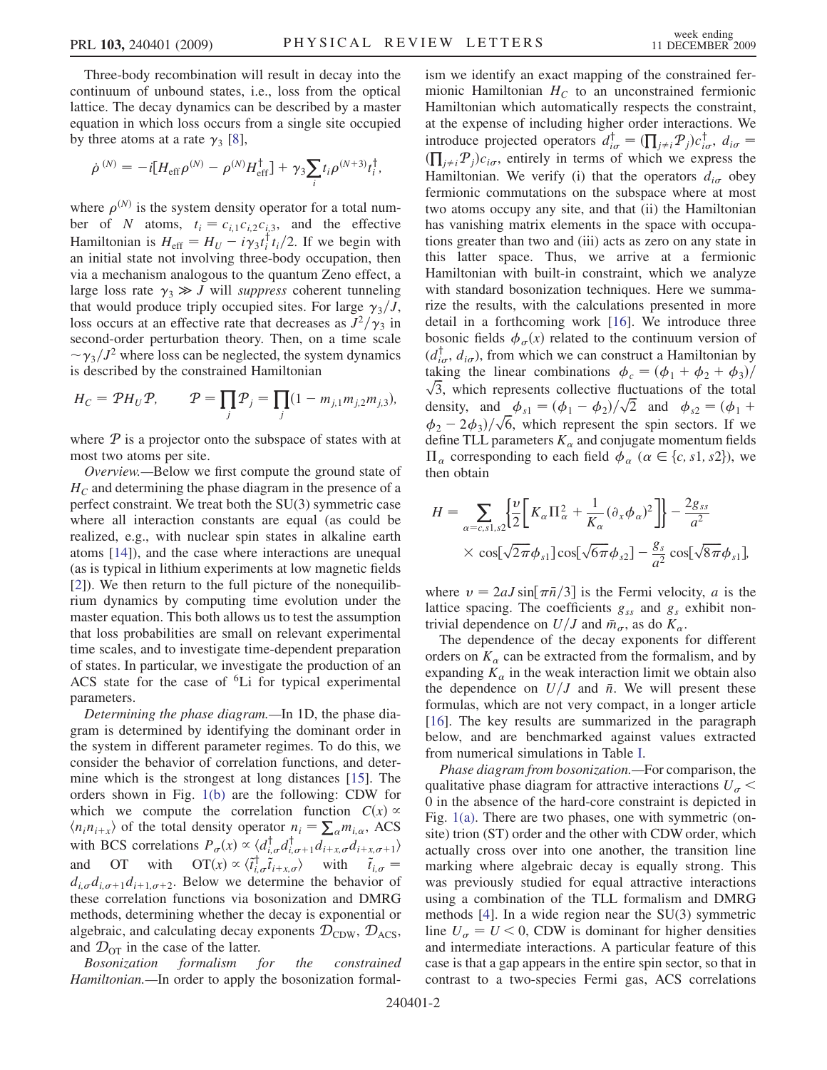Three-body recombination will result in decay into the continuum of unbound states, i.e., loss from the optical lattice. The decay dynamics can be described by a master equation in which loss occurs from a single site occupied by three atoms at a rate  $\gamma_3$  [\[8](#page-3-5)],

$$
\dot{\rho}^{(N)} = -i[H_{\rm eff} \rho^{(N)} - \rho^{(N)} H_{\rm eff}^{\dagger}] + \gamma_3 \sum_i t_i \rho^{(N+3)} t_i^{\dagger},
$$

where  $\rho^{(N)}$  is the system density operator for a total number of N atoms,  $t_i = c_{i,1}c_{i,2}c_{i,3}$ , and the effective Hamiltonian is  $H_{\text{eff}} = H_U - i\gamma_3 t_i^{\dagger} t_i/2$ . If we begin with an initial state not involving three-body occupation then an initial state not involving three-body occupation, then via a mechanism analogous to the quantum Zeno effect, a large loss rate  $\gamma_3 \gg J$  will *suppress* coherent tunneling<br>that would produce triply occupied sites. For large  $\gamma_2/I$ that would produce triply occupied sites. For large  $\gamma_3/J$ , loss occurs at an effective rate that decreases as  $J^2/\gamma_3$  in second-order perturbation theory. Then, on a time scale  $\sim \gamma_3/J^2$  where loss can be neglected, the system dynamics<br>is described by the constrained Hamiltonian is described by the constrained Hamiltonian

$$
H_C = \mathcal{P}H_U \mathcal{P}, \qquad \mathcal{P} = \prod_j \mathcal{P}_j = \prod_j (1 - m_{j,1} m_{j,2} m_{j,3}),
$$

where  $P$  is a projector onto the subspace of states with at most two atoms per site.

Overview.—Below we first compute the ground state of  $H_C$  and determining the phase diagram in the presence of a perfect constraint. We treat both the SU(3) symmetric case where all interaction constants are equal (as could be realized, e.g., with nuclear spin states in alkaline earth atoms [\[14\]](#page-3-10)), and the case where interactions are unequal (as is typical in lithium experiments at low magnetic fields [\[2\]](#page-3-1)). We then return to the full picture of the nonequilibrium dynamics by computing time evolution under the master equation. This both allows us to test the assumption that loss probabilities are small on relevant experimental time scales, and to investigate time-dependent preparation of states. In particular, we investigate the production of an ACS state for the case of  ${}^{6}Li$  for typical experimental parameters.

Determining the phase diagram.—In 1D, the phase diagram is determined by identifying the dominant order in the system in different parameter regimes. To do this, we consider the behavior of correlation functions, and determine which is the strongest at long distances [[15](#page-3-11)]. The orders shown in Fig. [1\(b\)](#page-0-0) are the following: CDW for which we compute the correlation function  $C(x) \propto$  $\langle n_i n_{i+x} \rangle$  of the total density operator  $n_i = \sum_{\alpha} m_{i,\alpha}$ , ACS<br>with BCS correlations  $P(x) \propto (d^{\dagger} d^{\dagger} + d^{\dagger} d^{\dagger})$ with BCS correlations  $P_{\sigma}(x) \propto \langle d_{i,\sigma}^{\dagger} d_{i+\chi}^{\dagger} d_{i+\chi} d_{i+\chi,\sigma+1} \rangle$ and OT with  $OT(x) \propto \langle \tilde{t}_{i,\sigma}^{\dagger} \tilde{t}_{i+x,\sigma} \rangle$  with  $\tilde{t}_{i,\sigma} = d$  d d Relow we determine the behavior of  $d_{i,\sigma}d_{i,\sigma+1}d_{i+1,\sigma+2}$ . Below we determine the behavior of these correlation functions via bosonization and DMRG methods, determining whether the decay is exponential or algebraic, and calculating decay exponents  $\mathcal{D}_{CDW}$ ,  $\mathcal{D}_{ACS}$ , and  $\mathcal{D}_{\text{OT}}$  in the case of the latter.

Bosonization formalism for the constrained Hamiltonian.—In order to apply the bosonization formalism we identify an exact mapping of the constrained fermionic Hamiltonian  $H_C$  to an unconstrained fermionic Hamiltonian which automatically respects the constraint, at the expense of including higher order interactions. We introduce projected operators  $d_{i\sigma}^{\dagger} = (\prod_{j\neq i} P_j)c_{i\sigma}^{\dagger}, d_{i\sigma} = (\prod_{j\neq i} P_j)c_{i\sigma}^{\dagger}$ Hamiltonian. We verify (i) that the operators  $d_{i\sigma}$  obey  $\prod_{j\neq i} P_j$ ) $c_{i\sigma}$ , entirely in terms of which we express the<br>Jamiltonian We verify (i) that the operators dependent fermionic commutations on the subspace where at most two atoms occupy any site, and that (ii) the Hamiltonian has vanishing matrix elements in the space with occupations greater than two and (iii) acts as zero on any state in this latter space. Thus, we arrive at a fermionic Hamiltonian with built-in constraint, which we analyze with standard bosonization techniques. Here we summarize the results, with the calculations presented in more detail in a forthcoming work [[16](#page-3-12)]. We introduce three bosonic fields  $\phi_{\sigma}(x)$  related to the continuum version of  $(d_{i\sigma}^{\dagger}, d_{i\sigma})$ , from which we can construct a Hamiltonian by taking the linear combinations  $\phi_c = (\phi_1 + \phi_2 + \phi_3)/\sqrt{3}$ , which represents collective fluctuations of the total density, and  $\phi_{s1} = (\phi_1 - \phi_2)/\sqrt{2}$  and  $\phi_{s2} = (\phi_1 + \phi_2)/\sqrt{6}$  which represent the spin sectors If we  $\phi_2 - 2\phi_3/\sqrt{6}$ , which represent the spin sectors. If we define TLL parameters K and conjugate momentum fields define TLL parameters  $K_{\alpha}$  and conjugate momentum fields  $\Pi_{\alpha}$  corresponding to each field  $\phi_{\alpha}$  ( $\alpha \in \{c, s1, s2\}$ ), we then obtain then obtain

$$
H = \sum_{\alpha = c, s1, s2} \left\{ \frac{\upsilon}{2} \left[ K_{\alpha} \Pi_{\alpha}^{2} + \frac{1}{K_{\alpha}} (\partial_{x} \phi_{\alpha})^{2} \right] \right\} - \frac{2g_{ss}}{a^{2}} \times \cos[\sqrt{2\pi} \phi_{s1}] \cos[\sqrt{6\pi} \phi_{s2}] - \frac{g_{s}}{a^{2}} \cos[\sqrt{8\pi} \phi_{s1}],
$$

where  $v = 2aJ \sin[\pi \bar{n}/3]$  is the Fermi velocity, a is the lattice spacing. The coefficients  $g_{ss}$  and  $g_s$  exhibit nontrivial dependence on  $U/J$  and  $\bar{m}_{\sigma}$ , as do  $K_{\alpha}$ .

The dependence of the decay exponents for different orders on  $K_{\alpha}$  can be extracted from the formalism, and by expanding  $K_{\alpha}$  in the weak interaction limit we obtain also the dependence on  $U/J$  and  $\bar{n}$ . We will present these formulas, which are not very compact, in a longer article [\[16\]](#page-3-12). The key results are summarized in the paragraph below, and are benchmarked against values extracted from numerical simulations in Table [I.](#page-2-0)

Phase diagram from bosonization.—For comparison, the qualitative phase diagram for attractive interactions  $U_{\sigma}$  < 0 in the absence of the hard-core constraint is depicted in Fig. [1\(a\).](#page-0-0) There are two phases, one with symmetric (onsite) trion (ST) order and the other with CDW order, which actually cross over into one another, the transition line marking where algebraic decay is equally strong. This was previously studied for equal attractive interactions using a combination of the TLL formalism and DMRG methods [[4\]](#page-3-9). In a wide region near the SU(3) symmetric line  $U_a = U \leq 0$ , CDW is dominant for higher densities and intermediate interactions. A particular feature of this case is that a gap appears in the entire spin sector, so that in contrast to a two-species Fermi gas, ACS correlations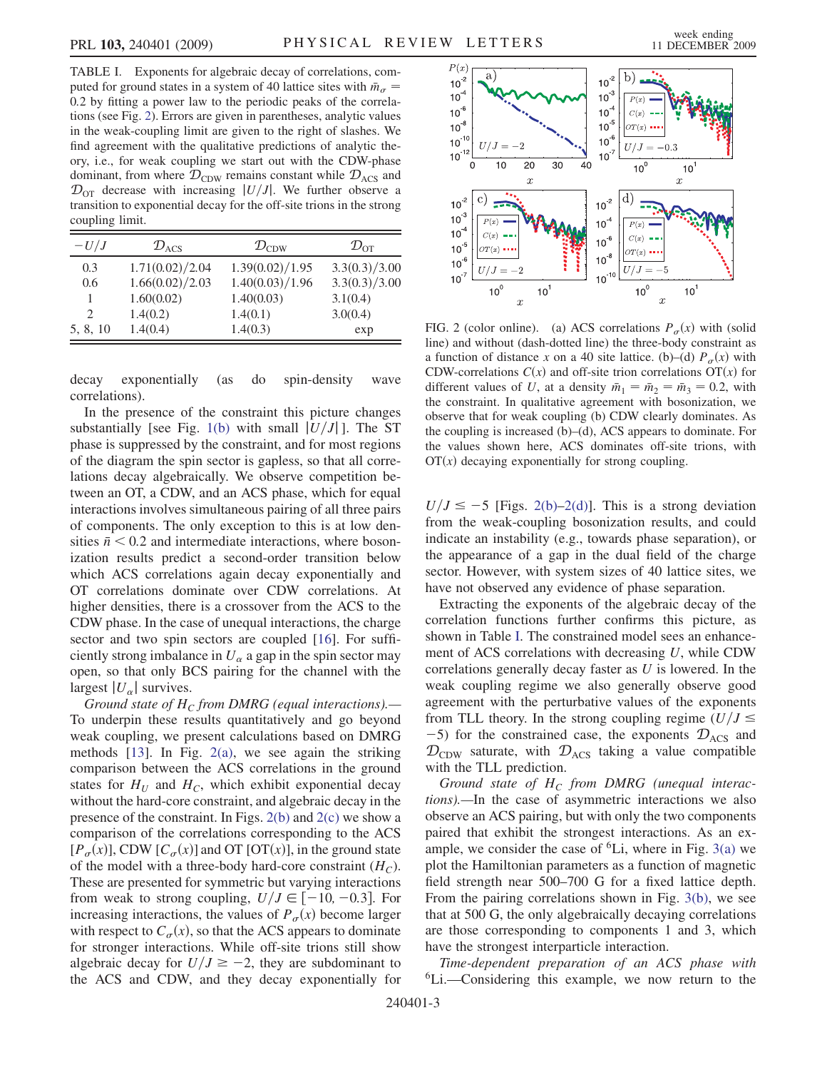<span id="page-2-0"></span>TABLE I. Exponents for algebraic decay of correlations, computed for ground states in a system of 40 lattice sites with  $\bar{m}_{\sigma}$  = 0:2 by fitting a power law to the periodic peaks of the correlations (see Fig. [2\)](#page-2-2). Errors are given in parentheses, analytic values in the weak-coupling limit are given to the right of slashes. We find agreement with the qualitative predictions of analytic theory, i.e., for weak coupling we start out with the CDW-phase dominant, from where  $\mathcal{D}_{CDW}$  remains constant while  $\mathcal{D}_{ACS}$  and  $\mathcal{D}_{\text{OT}}$  decrease with increasing  $|U/J|$ . We further observe a transition to exponential decay for the off-site trions in the strong coupling limit.

| $-U/J$                      | $\mathcal{D}_{\rm ACS}$ | $\mathcal{D}_{\mathrm{CDW}}$ | $\mathcal{D}_{\text{OT}}$ |
|-----------------------------|-------------------------|------------------------------|---------------------------|
| 0.3                         | 1.71(0.02)/2.04         | 1.39(0.02)/1.95              | 3.3(0.3)/3.00             |
| 0.6                         | 1.66(0.02)/2.03         | 1.40(0.03)/1.96              | 3.3(0.3)/3.00             |
|                             | 1.60(0.02)              | 1.40(0.03)                   | 3.1(0.4)                  |
| $\mathcal{D}_{\mathcal{L}}$ | 1.4(0.2)                | 1.4(0.1)                     | 3.0(0.4)                  |
| 5, 8, 10                    | 1.4(0.4)                | 1.4(0.3)                     | exp                       |

decay exponentially (as do spin-density wave correlations).

In the presence of the constraint this picture changes substantially [see Fig. [1\(b\)](#page-0-0) with small  $|U/J|$ ]. The ST phase is suppressed by the constraint, and for most regions of the diagram the spin sector is gapless, so that all correlations decay algebraically. We observe competition between an OT, a CDW, and an ACS phase, which for equal interactions involves simultaneous pairing of all three pairs of components. The only exception to this is at low densities  $\bar{n}$  < 0.2 and intermediate interactions, where bosonization results predict a second-order transition below which ACS correlations again decay exponentially and OT correlations dominate over CDW correlations. At higher densities, there is a crossover from the ACS to the CDW phase. In the case of unequal interactions, the charge sector and two spin sectors are coupled [\[16\]](#page-3-12). For sufficiently strong imbalance in  $U_{\alpha}$  a gap in the spin sector may open, so that only BCS pairing for the channel with the largest  $|U_{\alpha}|$  survives.

Ground state of  $H_C$  from DMRG (equal interactions).— To underpin these results quantitatively and go beyond weak coupling, we present calculations based on DMRG methods  $[13]$  $[13]$  $[13]$ . In Fig.  $2(a)$ , we see again the striking comparison between the ACS correlations in the ground states for  $H_U$  and  $H_C$ , which exhibit exponential decay without the hard-core constraint, and algebraic decay in the presence of the constraint. In Figs. [2\(b\)](#page-2-1) and [2\(c\)](#page-2-1) we show a comparison of the correlations corresponding to the ACS  $[P_{\sigma}(x)]$ , CDW  $[C_{\sigma}(x)]$  and OT [OT(x)], in the ground state of the model with a three-body hard-core constraint  $(H_C)$ . These are presented for symmetric but varying interactions from weak to strong coupling,  $U/J \in [-10, -0.3]$ . For increasing interactions, the values of  $P_\sigma(x)$  become larger with respect to  $C_{\sigma}(x)$ , so that the ACS appears to dominate for stronger interactions. While off-site trions still show algebraic decay for  $U/J \ge -2$ , they are subdominant to the ACS and CDW, and they decay exponentially for

<span id="page-2-2"></span>

<span id="page-2-1"></span>FIG. 2 (color online). (a) ACS correlations  $P_\sigma(x)$  with (solid line) and without (dash-dotted line) the three-body constraint as a function of distance x on a 40 site lattice. (b)–(d)  $P_{\sigma}(x)$  with CDW-correlations  $C(x)$  and off-site trion correlations  $OT(x)$  for different values of U, at a density  $\bar{m}_1 = \bar{m}_2 = \bar{m}_3 = 0.2$ , with the constraint. In qualitative agreement with bosonization, we observe that for weak coupling (b) CDW clearly dominates. As the coupling is increased (b)–(d), ACS appears to dominate. For the values shown here, ACS dominates off-site trions, with  $OT(x)$  decaying exponentially for strong coupling.

 $U/J \le -5$  [Figs. [2\(b\)–2\(d\)\]](#page-2-1). This is a strong deviation from the weak-coupling bosonization results, and could indicate an instability (e.g., towards phase separation), or the appearance of a gap in the dual field of the charge sector. However, with system sizes of 40 lattice sites, we have not observed any evidence of phase separation.

Extracting the exponents of the algebraic decay of the correlation functions further confirms this picture, as shown in Table [I](#page-2-0). The constrained model sees an enhancement of ACS correlations with decreasing  $U$ , while CDW correlations generally decay faster as  $U$  is lowered. In the weak coupling regime we also generally observe good agreement with the perturbative values of the exponents from TLL theory. In the strong coupling regime  $(U/J \leq$  $-5$ ) for the constrained case, the exponents  $\mathcal{D}_{\text{ACS}}$  and  $\mathcal{D}_{CDW}$  saturate, with  $\mathcal{D}_{ACS}$  taking a value compatible with the TLL prediction.

Ground state of  $H_C$  from DMRG (unequal interactions).—In the case of asymmetric interactions we also observe an ACS pairing, but with only the two components paired that exhibit the strongest interactions. As an example, we consider the case of  ${}^{6}$ Li, where in Fig. [3\(a\)](#page-3-13) we plot the Hamiltonian parameters as a function of magnetic field strength near 500–700 G for a fixed lattice depth. From the pairing correlations shown in Fig. [3\(b\),](#page-3-13) we see that at 500 G, the only algebraically decaying correlations are those corresponding to components 1 and 3, which have the strongest interparticle interaction.

Time-dependent preparation of an ACS phase with 6Li.—Considering this example, we now return to the